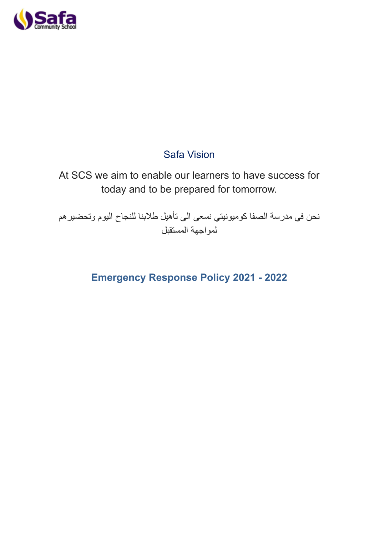

## Safa Vision

# At SCS we aim to enable our learners to have success for today and to be prepared for tomorrow.

نحن في مدرسة الصفا كوميونيتي نسعى الى تأهيل طالبنا للنجاح اليوم وتحضيرهم لمواجهة المستقبل

# **Emergency Response Policy 2021 - 2022**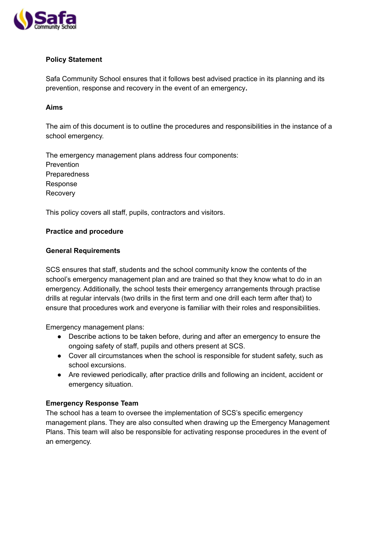

### **Policy Statement**

Safa Community School ensures that it follows best advised practice in its planning and its prevention, response and recovery in the event of an emergency**.**

#### **Aims**

The aim of this document is to outline the procedures and responsibilities in the instance of a school emergency.

The emergency management plans address four components: Prevention **Preparedness** Response Recovery

This policy covers all staff, pupils, contractors and visitors.

#### **Practice and procedure**

#### **General Requirements**

SCS ensures that staff, students and the school community know the contents of the school's emergency management plan and are trained so that they know what to do in an emergency. Additionally, the school tests their emergency arrangements through practise drills at regular intervals (two drills in the first term and one drill each term after that) to ensure that procedures work and everyone is familiar with their roles and responsibilities.

Emergency management plans:

- Describe actions to be taken before, during and after an emergency to ensure the ongoing safety of staff, pupils and others present at SCS.
- Cover all circumstances when the school is responsible for student safety, such as school excursions.
- Are reviewed periodically, after practice drills and following an incident, accident or emergency situation.

#### **Emergency Response Team**

The school has a team to oversee the implementation of SCS's specific emergency management plans. They are also consulted when drawing up the Emergency Management Plans. This team will also be responsible for activating response procedures in the event of an emergency.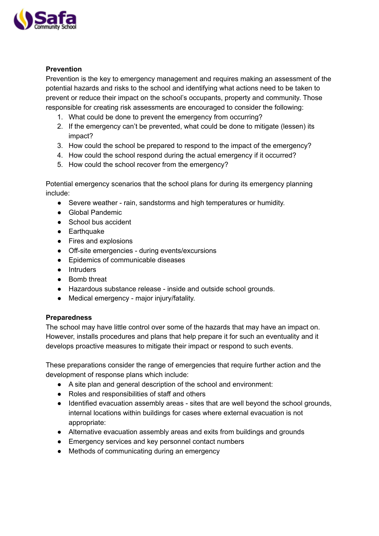

## **Prevention**

Prevention is the key to emergency management and requires making an assessment of the potential hazards and risks to the school and identifying what actions need to be taken to prevent or reduce their impact on the school's occupants, property and community. Those responsible for creating risk assessments are encouraged to consider the following:

- 1. What could be done to prevent the emergency from occurring?
- 2. If the emergency can't be prevented, what could be done to mitigate (lessen) its impact?
- 3. How could the school be prepared to respond to the impact of the emergency?
- 4. How could the school respond during the actual emergency if it occurred?
- 5. How could the school recover from the emergency?

Potential emergency scenarios that the school plans for during its emergency planning include:

- Severe weather rain, sandstorms and high temperatures or humidity.
- Global Pandemic
- School bus accident
- Earthquake
- Fires and explosions
- Off-site emergencies during events/excursions
- Epidemics of communicable diseases
- Intruders
- Bomb threat
- Hazardous substance release inside and outside school grounds.
- Medical emergency major injury/fatality.

#### **Preparedness**

The school may have little control over some of the hazards that may have an impact on. However, installs procedures and plans that help prepare it for such an eventuality and it develops proactive measures to mitigate their impact or respond to such events.

These preparations consider the range of emergencies that require further action and the development of response plans which include:

- A site plan and general description of the school and environment:
- Roles and responsibilities of staff and others
- Identified evacuation assembly areas sites that are well beyond the school grounds, internal locations within buildings for cases where external evacuation is not appropriate:
- Alternative evacuation assembly areas and exits from buildings and grounds
- Emergency services and key personnel contact numbers
- Methods of communicating during an emergency